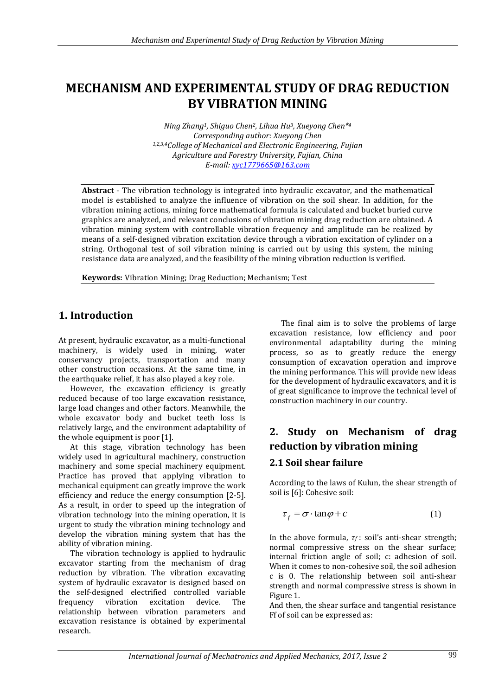## **MECHANISM AND EXPERIMENTAL STUDY OF DRAG REDUCTION BY VIBRATION MINING**

*Ning Zhang1, Shiguo Chen2, Lihua Hu3, Xueyong Chen\* 4 Corresponding author: Xueyong Chen 1,2,3,4College of Mechanical and Electronic Engineering, Fujian Agriculture and Forestry University, Fujian, China E-mail: [xyc1779665@163.com](mailto:xyc1779665@163.com)* 

**Abstract** - The vibration technology is integrated into hydraulic excavator, and the mathematical model is established to analyze the influence of vibration on the soil shear. In addition, for the vibration mining actions, mining force mathematical formula is calculated and bucket buried curve graphics are analyzed, and relevant conclusions of vibration mining drag reduction are obtained. A vibration mining system with controllable vibration frequency and amplitude can be realized by means of a self-designed vibration excitation device through a vibration excitation of cylinder on a string. Orthogonal test of soil vibration mining is carried out by using this system, the mining resistance data are analyzed, and the feasibility of the mining vibration reduction is verified.

**Keywords:** Vibration Mining; Drag Reduction; Mechanism; Test

### **1. Introduction**

At present, hydraulic excavator, as a multi-functional machinery, is widely used in mining, water conservancy projects, transportation and many other construction occasions. At the same time, in the earthquake relief, it has also played a key role.

However, the excavation efficiency is greatly reduced because of too large excavation resistance, large load changes and other factors. Meanwhile, the whole excavator body and bucket teeth loss is relatively large, and the environment adaptability of the whole equipment is poor [1].

At this stage, vibration technology has been widely used in agricultural machinery, construction machinery and some special machinery equipment. Practice has proved that applying vibration to mechanical equipment can greatly improve the work efficiency and reduce the energy consumption [2-5]. As a result, in order to speed up the integration of vibration technology into the mining operation, it is urgent to study the vibration mining technology and develop the vibration mining system that has the ability of vibration mining.

The vibration technology is applied to hydraulic excavator starting from the mechanism of drag reduction by vibration. The vibration excavating system of hydraulic excavator is designed based on the self-designed electrified controlled variable frequency vibration excitation device. The relationship between vibration parameters and excavation resistance is obtained by experimental research.

The final aim is to solve the problems of large excavation resistance, low efficiency and poor environmental adaptability during the mining process, so as to greatly reduce the energy consumption of excavation operation and improve the mining performance. This will provide new ideas for the development of hydraulic excavators, and it is of great significance to improve the technical level of construction machinery in our country.

# **2. Study on Mechanism of drag reduction by vibration mining**

### **2.1 Soil shear failure**

According to the laws of Kulun, the shear strength of soil is [6]: Cohesive soil:

$$
\tau_f = \sigma \cdot \tan \varphi + c \tag{1}
$$

In the above formula, *τ<sup>f</sup>* : soil's anti-shear strength; normal compressive stress on the shear surface; internal friction angle of soil; с: adhesion of soil. When it comes to non-cohesive soil, the soil adhesion c is 0. The relationship between soil anti-shear strength and normal compressive stress is shown in Figure 1.

And then, the shear surface and tangential resistance Ff of soil can be expressed as: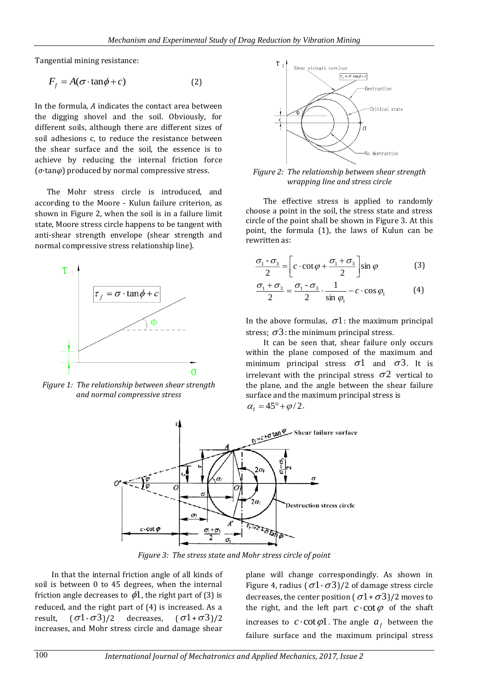Tangential mining resistance:

$$
F_f = A(\sigma \cdot \tan \phi + c) \tag{2}
$$

In the formula, *A* indicates the contact area between the digging shovel and the soil. Obviously, for different soils, although there are different sizes of soil adhesions c, to reduce the resistance between the shear surface and the soil, the essence is to achieve by reducing the internal friction force (*σ*·tan*φ*) produced by normal compressive stress.

The Mohr stress circle is introduced, and according to the Moore - Kulun failure criterion, as shown in Figure 2, when the soil is in a failure limit state, Moore stress circle happens to be tangent with anti-shear strength envelope (shear strength and normal compressive stress relationship line).



*Figure 1: The relationship between shear strength and normal compressive stress*



*Figure 2: The relationship between shear strength wrapping line and stress circle*

The effective stress is applied to randomly choose a point in the soil, the stress state and stress circle of the point shall be shown in Figure 3. At this point, the formula (1), the laws of Kulun can be rewritten as:

$$
\frac{\sigma_1 - \sigma_3}{2} = \left[ c \cdot \cot \varphi + \frac{\sigma_1 + \sigma_3}{2} \right] \sin \varphi \tag{3}
$$

$$
\frac{\sigma_1 + \sigma_3}{2} = \frac{\sigma_1 - \sigma_3}{2} \cdot \frac{1}{\sin \varphi_1} - c \cdot \cos \varphi_1 \tag{4}
$$

In the above formulas,  $\sigma$ 1: the maximum principal stress;  $\sigma$ 3: the minimum principal stress.

It can be seen that, shear failure only occurs within the plane composed of the maximum and minimum principal stress  $\sigma$ 1 and  $\sigma$ 3. It is irrelevant with the principal stress  $\sigma$ 2 vertical to the plane, and the angle between the shear failure surface and the maximum principal stress is  $\alpha_{\rm f} = 45^{\circ} + \varphi/2$ .



*Figure 3: The stress state and Mohr stress circle of point*

In that the internal friction angle of all kinds of soil is between 0 to 45 degrees, when the internal friction angle decreases to  $\phi$ 1, the right part of (3) is reduced, and the right part of (4) is increased. As a result,  $\sigma$ 1 -  $\sigma$ 3)/2 decreases,  $\sigma$ 1+ $\sigma$ 3)/2 increases, and Mohr stress circle and damage shear

plane will change correspondingly. As shown in Figure 4, radius ( $\sigma$ 1 -  $\sigma$ 3)/2 of damage stress circle decreases, the center position ( $\sigma$ 1+ $\sigma$ 3)/2 moves to the right, and the left part  $c$  cot  $\varphi$  of the shaft increases to  $c \cdot \cot \varphi 1$ . The angle  $a_f$  between the failure surface and the maximum principal stress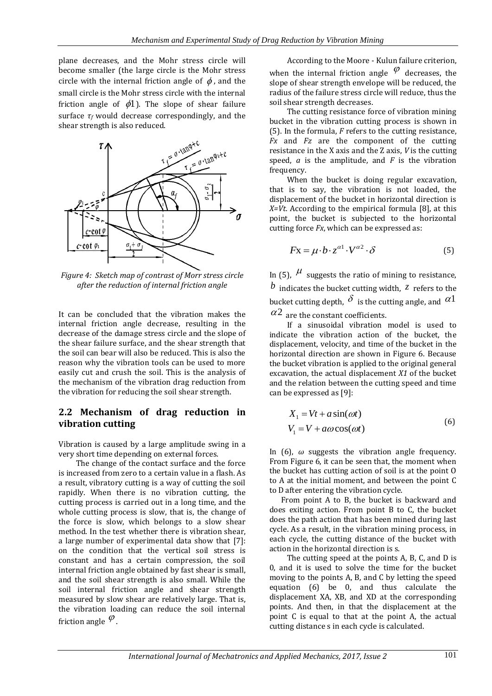plane decreases, and the Mohr stress circle will become smaller (the large circle is the Mohr stress circle with the internal friction angle of  $\phi$ , and the small circle is the Mohr stress circle with the internal friction angle of  $\phi$ 1). The slope of shear failure surface *τ<sup>f</sup>* would decrease correspondingly, and the shear strength is also reduced.



*Figure 4: Sketch map of contrast of Morr stress circle after the reduction of internal friction angle*

It can be concluded that the vibration makes the internal friction angle decrease, resulting in the decrease of the damage stress circle and the slope of the shear failure surface, and the shear strength that the soil can bear will also be reduced. This is also the reason why the vibration tools can be used to more easily cut and crush the soil. This is the analysis of the mechanism of the vibration drag reduction from the vibration for reducing the soil shear strength.

#### **2.2 Mechanism of drag reduction in vibration cutting**

Vibration is caused by a large amplitude swing in a very short time depending on external forces.

The change of the contact surface and the force is increased from zero to a certain value in a flash. As a result, vibratory cutting is a way of cutting the soil rapidly. When there is no vibration cutting, the cutting process is carried out in a long time, and the whole cutting process is slow, that is, the change of the force is slow, which belongs to a slow shear method. In the test whether there is vibration shear, a large number of experimental data show that [7]: on the condition that the vertical soil stress is constant and has a certain compression, the soil internal friction angle obtained by fast shear is small, and the soil shear strength is also small. While the soil internal friction angle and shear strength measured by slow shear are relatively large. That is, the vibration loading can reduce the soil internal friction angle  $\,^\varphi$  .

According to the Moore - Kulun failure criterion, when the internal friction angle  $\varphi$  decreases, the slope of shear strength envelope will be reduced, the radius of the failure stress circle will reduce, thus the soil shear strength decreases.

The cutting resistance force of vibration mining bucket in the vibration cutting process is shown in (5). In the formula, *F* refers to the cutting resistance, *Fx* and *Fz* are the component of the cutting resistance in the X axis and the Z axis, *V* is the cutting speed, *a* is the amplitude, and *F* is the vibration frequency.

When the bucket is doing regular excavation, that is to say, the vibration is not loaded, the displacement of the bucket in horizontal direction is *X=Vt*. According to the empirical formula [8], at this point, the bucket is subjected to the horizontal cutting force *Fx*, which can be expressed as:

$$
F\mathbf{x} = \mu \cdot b \cdot z^{\alpha 1} \cdot V^{\alpha 2} \cdot \delta \tag{5}
$$

In (5),  $\mu$  suggests the ratio of mining to resistance, *b* indicates the bucket cutting width, *z* refers to the bucket cutting depth,  $\delta$  is the cutting angle, and  $\alpha$ 1  $\alpha$ <sup>2</sup> are the constant coefficients.

If a sinusoidal vibration model is used to indicate the vibration action of the bucket, the displacement, velocity, and time of the bucket in the horizontal direction are shown in Figure 6. Because the bucket vibration is applied to the original general excavation, the actual displacement *X1* of the bucket and the relation between the cutting speed and time can be expressed as [9]:

$$
X_1 = Vt + a\sin(\omega t)
$$
  
\n
$$
V_1 = V + a\omega\cos(\omega t)
$$
\n(6)

In (6),  $\omega$  suggests the vibration angle frequency. From Figure 6, it can be seen that, the moment when the bucket has cutting action of soil is at the point O to A at the initial moment, and between the point C to D after entering the vibration cycle.

From point A to B, the bucket is backward and does exiting action. From point B to C, the bucket does the path action that has been mined during last cycle. As a result, in the vibration mining process, in each cycle, the cutting distance of the bucket with action in the horizontal direction is s.

The cutting speed at the points A, B, C, and D is 0, and it is used to solve the time for the bucket moving to the points A, B, and C by letting the speed equation (6) be 0, and thus calculate the displacement XA, XB, and XD at the corresponding points. And then, in that the displacement at the point C is equal to that at the point A, the actual cutting distance s in each cycle is calculated.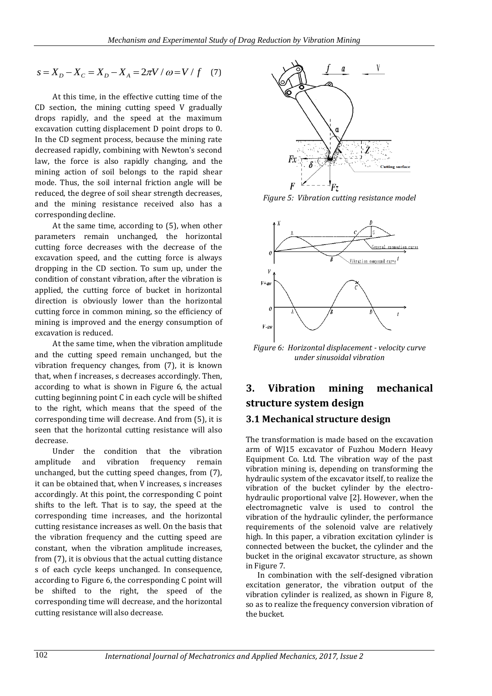$$
s = X_D - X_C = X_D - X_A = 2\pi V / \omega = V / f
$$
 (7)

At this time, in the effective cutting time of the CD section, the mining cutting speed V gradually drops rapidly, and the speed at the maximum excavation cutting displacement D point drops to 0. In the CD segment process, because the mining rate decreased rapidly, combining with Newton's second law, the force is also rapidly changing, and the mining action of soil belongs to the rapid shear mode. Thus, the soil internal friction angle will be reduced, the degree of soil shear strength decreases, and the mining resistance received also has a corresponding decline.

At the same time, according to (5), when other parameters remain unchanged, the horizontal cutting force decreases with the decrease of the excavation speed, and the cutting force is always dropping in the CD section. To sum up, under the condition of constant vibration, after the vibration is applied, the cutting force of bucket in horizontal direction is obviously lower than the horizontal cutting force in common mining, so the efficiency of mining is improved and the energy consumption of excavation is reduced.

At the same time, when the vibration amplitude and the cutting speed remain unchanged, but the vibration frequency changes, from (7), it is known that, when f increases, s decreases accordingly. Then, according to what is shown in Figure 6, the actual cutting beginning point C in each cycle will be shifted to the right, which means that the speed of the corresponding time will decrease. And from (5), it is seen that the horizontal cutting resistance will also decrease.

Under the condition that the vibration amplitude and vibration frequency remain unchanged, but the cutting speed changes, from (7), it can be obtained that, when V increases, s increases accordingly. At this point, the corresponding C point shifts to the left. That is to say, the speed at the corresponding time increases, and the horizontal cutting resistance increases as well. On the basis that the vibration frequency and the cutting speed are constant, when the vibration amplitude increases, from (7), it is obvious that the actual cutting distance s of each cycle keeps unchanged. In consequence, according to Figure 6, the corresponding C point will be shifted to the right, the speed of the corresponding time will decrease, and the horizontal cutting resistance will also decrease.



*Figure 5: Vibration cutting resistance model*



*Figure 6: Horizontal displacement - velocity curve under sinusoidal vibration*

# **3. Vibration mining mechanical structure system design**

#### **3.1 Mechanical structure design**

The transformation is made based on the excavation arm of WJ15 excavator of Fuzhou Modern Heavy Equipment Co. Ltd. The vibration way of the past vibration mining is, depending on transforming the hydraulic system of the excavator itself, to realize the vibration of the bucket cylinder by the electrohydraulic proportional valve [2]. However, when the electromagnetic valve is used to control the vibration of the hydraulic cylinder, the performance requirements of the solenoid valve are relatively high. In this paper, a vibration excitation cylinder is connected between the bucket, the cylinder and the bucket in the original excavator structure, as shown in Figure 7.

In combination with the self-designed vibration excitation generator, the vibration output of the vibration cylinder is realized, as shown in Figure 8, so as to realize the frequency conversion vibration of the bucket.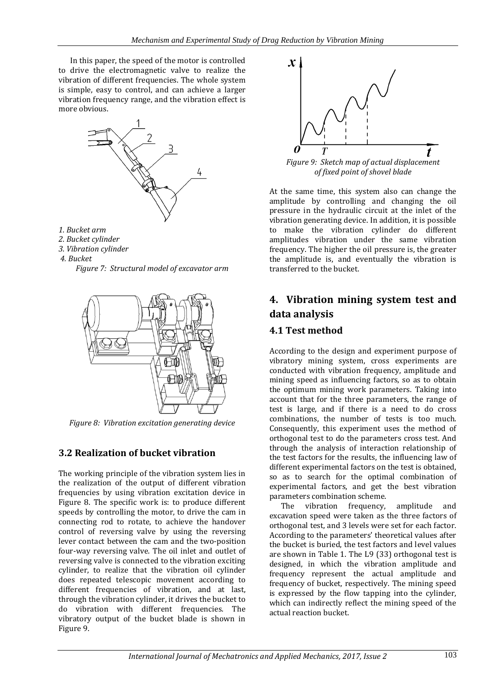In this paper, the speed of the motor is controlled to drive the electromagnetic valve to realize the vibration of different frequencies. The whole system is simple, easy to control, and can achieve a larger vibration frequency range, and the vibration effect is more obvious.



- *1. Bucket arm*
- *2. Bucket cylinder*
- *3. Vibration cylinder*
- *4. Bucket*





*Figure 8: Vibration excitation generating device* 

### **3.2 Realization of bucket vibration**

The working principle of the vibration system lies in the realization of the output of different vibration frequencies by using vibration excitation device in Figure 8. The specific work is: to produce different speeds by controlling the motor, to drive the cam in connecting rod to rotate, to achieve the handover control of reversing valve by using the reversing lever contact between the cam and the two-position four-way reversing valve. The oil inlet and outlet of reversing valve is connected to the vibration exciting cylinder, to realize that the vibration oil cylinder does repeated telescopic movement according to different frequencies of vibration, and at last, through the vibration cylinder, it drives the bucket to do vibration with different frequencies. The vibratory output of the bucket blade is shown in Figure 9.



*Figure 9: Sketch map of actual displacement of fixed point of shovel blade*

At the same time, this system also can change the amplitude by controlling and changing the oil pressure in the hydraulic circuit at the inlet of the vibration generating device. In addition, it is possible to make the vibration cylinder do different amplitudes vibration under the same vibration frequency. The higher the oil pressure is, the greater the amplitude is, and eventually the vibration is transferred to the bucket.

# **4. Vibration mining system test and data analysis**

## **4.1 Test method**

According to the design and experiment purpose of vibratory mining system, cross experiments are conducted with vibration frequency, amplitude and mining speed as influencing factors, so as to obtain the optimum mining work parameters. Taking into account that for the three parameters, the range of test is large, and if there is a need to do cross combinations, the number of tests is too much. Consequently, this experiment uses the method of orthogonal test to do the parameters cross test. And through the analysis of interaction relationship of the test factors for the results, the influencing law of different experimental factors on the test is obtained, so as to search for the optimal combination of experimental factors, and get the best vibration parameters combination scheme.

The vibration frequency, amplitude and excavation speed were taken as the three factors of orthogonal test, and 3 levels were set for each factor. According to the parameters' theoretical values after the bucket is buried, the test factors and level values are shown in Table 1. The L9 (33) orthogonal test is designed, in which the vibration amplitude and frequency represent the actual amplitude and frequency of bucket, respectively. The mining speed is expressed by the flow tapping into the cylinder, which can indirectly reflect the mining speed of the actual reaction bucket.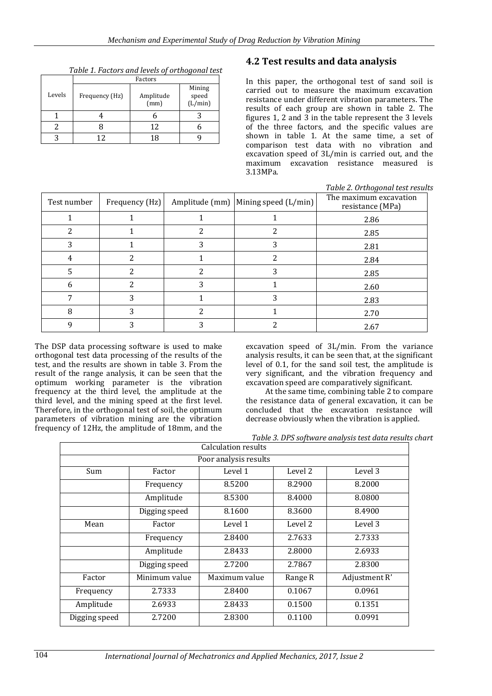|        | Factors        |                   |                            |  |  |
|--------|----------------|-------------------|----------------------------|--|--|
| Levels | Frequency (Hz) | Amplitude<br>(mm) | Mining<br>speed<br>(L/min) |  |  |
|        |                |                   |                            |  |  |
|        |                | 12                |                            |  |  |
|        |                | 18                |                            |  |  |

*Table 1. Factors and levels of orthogonal test*

#### **4.2 Test results and data analysis**

In this paper, the orthogonal test of sand soil is carried out to measure the maximum excavation resistance under different vibration parameters. The results of each group are shown in table 2. The figures 1, 2 and 3 in the table represent the 3 levels of the three factors, and the specific values are shown in table 1. At the same time, a set of comparison test data with no vibration and excavation speed of 3L/min is carried out, and the maximum excavation resistance measured is 3.13MPa.

| Table 2. Orthogonal test results |                |   |                                       |                                            |  |
|----------------------------------|----------------|---|---------------------------------------|--------------------------------------------|--|
| Test number                      | Frequency (Hz) |   | Amplitude (mm)   Mining speed (L/min) | The maximum excavation<br>resistance (MPa) |  |
|                                  |                |   |                                       | 2.86                                       |  |
| 2                                |                | 2 | 2                                     | 2.85                                       |  |
|                                  |                | 3 | 3                                     | 2.81                                       |  |
| 4                                | າ              |   | $\overline{c}$                        | 2.84                                       |  |
| 5                                | າ              | 2 | 3                                     | 2.85                                       |  |
| 6                                |                | 3 |                                       | 2.60                                       |  |
| 7                                | 3              |   | 3                                     | 2.83                                       |  |
| 8                                | 3              | 2 |                                       | 2.70                                       |  |
| q                                |                | 3 | າ                                     | 2.67                                       |  |

The DSP data processing software is used to make orthogonal test data processing of the results of the test, and the results are shown in table 3. From the result of the range analysis, it can be seen that the optimum working parameter is the vibration frequency at the third level, the amplitude at the third level, and the mining speed at the first level. Therefore, in the orthogonal test of soil, the optimum parameters of vibration mining are the vibration frequency of 12Hz, the amplitude of 18mm, and the excavation speed of 3L/min. From the variance analysis results, it can be seen that, at the significant level of 0.1, for the sand soil test, the amplitude is very significant, and the vibration frequency and excavation speed are comparatively significant.

At the same time, combining table 2 to compare the resistance data of general excavation, it can be concluded that the excavation resistance will decrease obviously when the vibration is applied.

*Table 3. DPS software analysis test data results chart*

| Calculation results   |               |                    |         |               |  |  |
|-----------------------|---------------|--------------------|---------|---------------|--|--|
| Poor analysis results |               |                    |         |               |  |  |
| Sum                   | Factor        | Level 1<br>Level 2 |         | Level 3       |  |  |
|                       | Frequency     | 8.5200             | 8.2900  | 8.2000        |  |  |
|                       | Amplitude     | 8.5300             | 8.4000  | 8.0800        |  |  |
|                       | Digging speed | 8.1600             | 8.3600  | 8.4900        |  |  |
| Mean                  | Factor        | Level 1            | Level 2 | Level 3       |  |  |
|                       | Frequency     | 2.8400             | 2.7633  | 2.7333        |  |  |
|                       | Amplitude     | 2.8433             | 2.8000  | 2.6933        |  |  |
|                       | Digging speed | 2.7200             | 2.7867  | 2.8300        |  |  |
| Factor                | Minimum value | Maximum value      | Range R | Adjustment R' |  |  |
| Frequency             | 2.7333        | 2.8400             | 0.1067  | 0.0961        |  |  |
| Amplitude             | 2.6933        | 2.8433             | 0.1500  | 0.1351        |  |  |
| Digging speed         | 2.7200        | 2.8300             | 0.1100  | 0.0991        |  |  |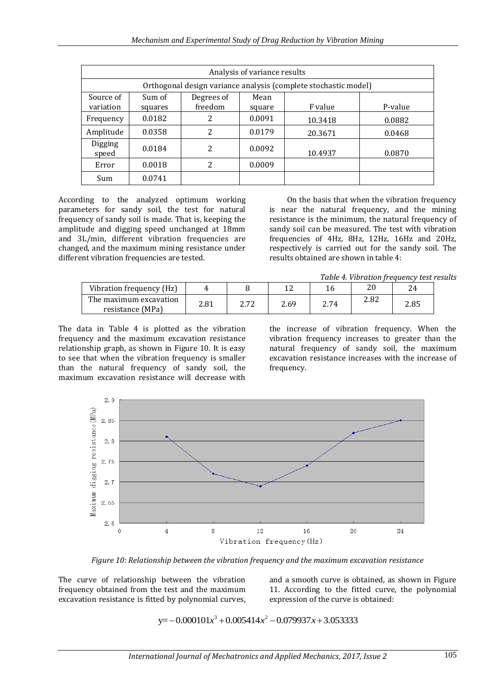| Analysis of variance results |                                                                 |                       |                |         |         |  |
|------------------------------|-----------------------------------------------------------------|-----------------------|----------------|---------|---------|--|
|                              | Orthogonal design variance analysis (complete stochastic model) |                       |                |         |         |  |
| Source of<br>variation       | Sum of<br>squares                                               | Degrees of<br>freedom | Mean<br>square | F value | P-value |  |
| Frequency                    | 0.0182                                                          | 2                     | 0.0091         | 10.3418 | 0.0882  |  |
| Amplitude                    | 0.0358                                                          | 2                     | 0.0179         | 20.3671 | 0.0468  |  |
| Digging<br>speed             | 0.0184                                                          | 2                     | 0.0092         | 10.4937 | 0.0870  |  |
| Error                        | 0.0018                                                          | 2                     | 0.0009         |         |         |  |
| Sum                          | 0.0741                                                          |                       |                |         |         |  |

According to the analyzed optimum working parameters for sandy soil, the test for natural frequency of sandy soil is made. That is, keeping the amplitude and digging speed unchanged at 18mm and 3L/min, different vibration frequencies are changed, and the maximum mining resistance under different vibration frequencies are tested.

On the basis that when the vibration frequency is near the natural frequency, and the mining resistance is the minimum, the natural frequency of sandy soil can be measured. The test with vibration frequencies of 4Hz, 8Hz, 12Hz, 16Hz and 20Hz, respectively is carried out for the sandy soil. The results obtained are shown in table 4:

*Table 4. Vibration frequency test results*

|                                            |      |      |      |      | 1 ADIC 11 FIDI AUDIL II CAACIIC FCDC |      |
|--------------------------------------------|------|------|------|------|--------------------------------------|------|
| Vibration frequency (Hz)                   |      |      | ⊥ ∠  |      |                                      |      |
| The maximum excavation<br>resistance (MPa) | 2.81 | רי ר | 2.69 | 2.74 | 2.82                                 | 2.85 |

The data in Table 4 is plotted as the vibration frequency and the maximum excavation resistance relationship graph, as shown in Figure 10. It is easy to see that when the vibration frequency is smaller than the natural frequency of sandy soil, the maximum excavation resistance will decrease with

the increase of vibration frequency. When the vibration frequency increases to greater than the natural frequency of sandy soil, the maximum excavation resistance increases with the increase of frequency.



*Figure 10: Relationship between the vibration frequency and the maximum excavation resistance*

The curve of relationship between the vibration frequency obtained from the test and the maximum excavation resistance is fitted by polynomial curves,

and a smooth curve is obtained, as shown in Figure 11. According to the fitted curve, the polynomial expression of the curve is obtained:

 $y=-0.000101x^3+0.005414x^2-0.079937x+3.053333$